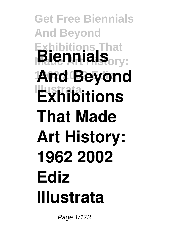## **Get Free Biennials And Beyond Exhibitions That Biennials**<sub>ory:</sub> **1962 2002 Ediz And Beyond Exhibitions That Made Art History: 1962 2002 Ediz Illustrata**

Page 1/173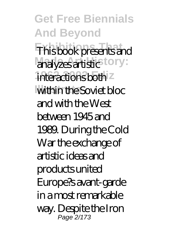**Get Free Biennials And Beyond Exhibitions That** This book presents and analyzes artistic tory: interactions both<sup>z</sup> within the Soviet bloc and with the West between 1945 and 1989. During the Cold War the exchange of artistic ideas and products united Europe?s avant-garde in a most remarkable way. Despite the Iron Page 2/173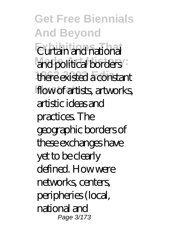**Get Free Biennials And Beyond Eurtain and national** and political borders **1962 2002 Ediz** there existed a constant flow of artists, artworks, artistic ideas and practices. The geographic borders of these exchanges have yet to be clearly defined. How were networks, centers, peripheries (local, national and Page 3/173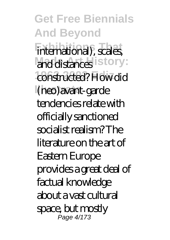**Get Free Biennials And Beyond** international), scales, and distances istory: constructed? How did **Illustrata** (neo)avant-garde tendencies relate with officially sanctioned socialist realism? The literature on the art of Eastern Europe provides a great deal of factual knowledge about a vast cultural space, but mostly Page 4/173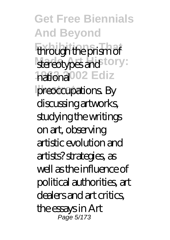**Get Free Biennials And Beyond Exhibitions That** through the prism of stereotypes and <sup>tory:</sup> hational<sup>002</sup> Ediz preoccupations. By discussing artworks, studying the writings on art, observing artistic evolution and artists? strategies, as well as the influence of political authorities, art dealers and art critics, the essays in Art Page 5/173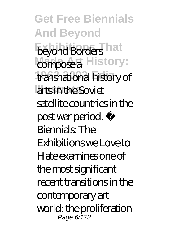**Get Free Biennials And Beyond** beyond Borders hat *compose a* History: **1962 2002 Ediz** transnational history of arts in the Soviet satellite countries in the post war period. ÿ Biennials: The Exhibitions we Love to Hate examines one of the most significant recent transitions in the contemporary art world: the proliferation Page 6/173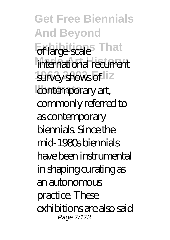**Get Free Biennials And Beyond Exhibition** international recurrent survey shows of liz contemporary art, commonly referred to as contemporary biennials. Since the mid-1980s biennials have been instrumental in shaping curating as an autonomous practice. These exhibitions are also said Page 7/173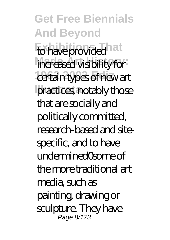**Get Free Biennials And Beyond** to have provided hat increased visibility for certain types of new art practices, notably those that are socially and politically committed, research-based and sitespecific, and to have undermined0some of the more traditional art media, such as painting, drawing or sculpture. They have Page 8/173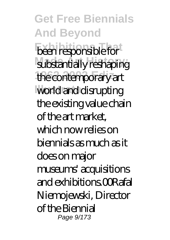**Get Free Biennials And Beyond** *<u>Been</u>* responsible for substantially reshaping the contemporary art world and disrupting the existing value chain of the art market, which now relies on biennials as much as it does on major museums' acquisitions and exhibitions.00Rafal Niemojewski, Director of the Biennial Page 9/173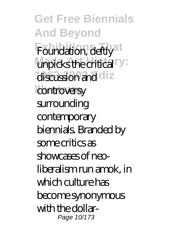**Get Free Biennials And Beyond** Foundation, deftly<sup>at</sup> unpicks the critical<sup>ry:</sup> discussion and diz controversy surrounding contemporary biennials. Branded by some critics as showcases of neoliberalism run amok, in which culture has become synonymous with the dollar-Page 10/173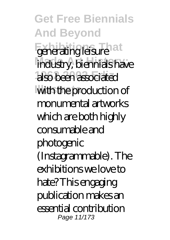**Get Free Biennials And Beyond** generating leisure<sup>1</sup>at **Made Art History:** industry, biennials have **1962 2002 Ediz** also been associated with the production of monumental artworks which are both highly consumable and photogenic (Instagrammable). The exhibitions we love to hate? This engaging publication makes an essential contribution Page 11/173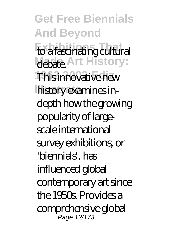**Get Free Biennials And Beyond** to a fascinating cultural **Mabate.** Art History: This innovative new history examines indepth how the growing popularity of largescale international survey exhibitions, or 'biennials', has influenced global contemporary art since the 1950s. Provides a comprehensive global Page 12/173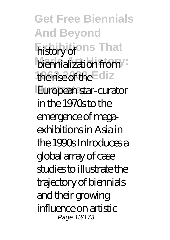**Get Free Biennials And Beyond Exhibitions That** history of biennialization from the rise of the Ediz **European star-curator** in the 1970s to the emergence of megaexhibitions in Asia in the 1990s Introduces a global array of case studies to illustrate the trajectory of biennials and their growing influence on artistic Page 13/173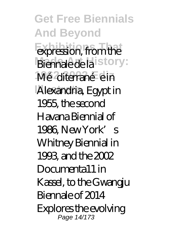**Get Free Biennials And Beyond Expression**, from the Biennale de la istory: Mé<sup>diterranée</sup>n **Illustrata** Alexandria, Egypt in 1955, the second Havana Biennial of 1986, New York's Whitney Biennial in 1993, and the  $2002$ Documenta11 in Kassel, to the Gwangju Biennale of 2014 Explores the evolving Page 14/173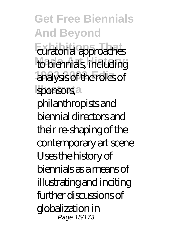**Get Free Biennials And Beyond Exhibitions That** curatorial approaches to biennials, including **1962 2002 Ediz** analysis of the roles of sponsors, a philanthropists and biennial directors and their re-shaping of the contemporary art scene Uses the history of biennials as a means of illustrating and inciting further discussions of globalization in Page 15/173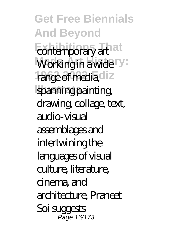**Get Free Biennials And Beyond** contemporary art at Working in a wide<sup>ry:</sup> range of media diz spanning painting, drawing, collage, text, audio-visual assemblages and intertwining the languages of visual culture, literature, cinema, and architecture, Praneet Soi suggests Page 16/173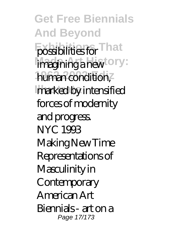**Get Free Biennials And Beyond** possibilities for That imagining a new <sup>tory:</sup> human condition, marked by intensified forces of modernity and progress. NYC 1993 Making New Time Representations of Masculinity in **Contemporary** American Art Biennials - art on a Page 17/173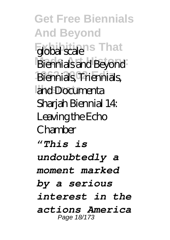**Get Free Biennials And Beyond** global scale<sup>ns</sup> That **Made Art History:** Biennials and Beyond **1962 2002 Ediz** Biennials, Triennials, and Documenta Sharjah Biennial 14: Leaving the Echo Chamber *"This is undoubtedly a moment marked by a serious interest in the actions America* Page 18/173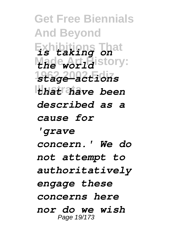**Get Free Biennials And Beyond Exhibitions That** *is taking on* Made *world* istory: **1962 2002 Ediz** *stage—actions* **Illustrata** *that have been described as a cause for 'grave concern.' We do not attempt to authoritatively engage these concerns here nor do we wish* Page 19/173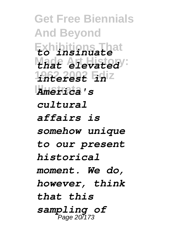**Get Free Biennials And Beyond Exhibitions That** *to insinuate* **Made Art History:** *that elevated* **1962 2002 Ediz** *interest in* **Illustrata** *America's cultural affairs is somehow unique to our present historical moment. We do, however, think that this sampling of* Page 20/173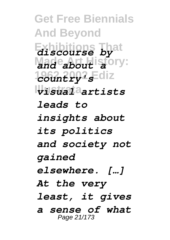**Get Free Biennials And Beyond Exhibitions That** *discourse by* Made **Art** History: **1962 2002 Ediz** *country's* **Illustrata** *visual artists leads to insights about its politics and society not gained elsewhere. […] At the very least, it gives a sense of what* Page 21/173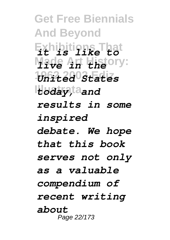**Get Free Biennials And Beyond Exhibitions That** *it is like to* **Made Art History:** *live in the* **1962 2002 Ediz** *United States* **Illustrata** *today, and results in some inspired debate. We hope that this book serves not only as a valuable compendium of recent writing about* Page 22/173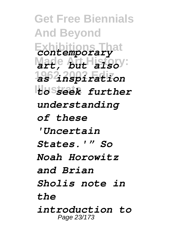**Get Free Biennials And Beyond Exhibitions That** *contemporary* **Made Art History:** *art, but also* **1962 2002 Ediz** *as inspiration* **Illustrata** *to seek further understanding of these 'Uncertain States.'" So Noah Horowitz and Brian Sholis note in the introduction to* Page 23/173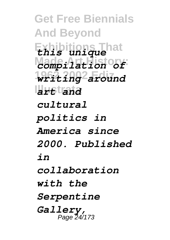**Get Free Biennials And Beyond Exhibitions That** *this unique* **Made Art History:** *compilation of* **1962 2002 Ediz** *writing around* **Illustrata** *art and cultural politics in America since 2000. Published in collaboration with the Serpentine Gallery,* Page 24/173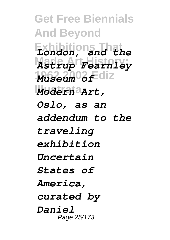**Get Free Biennials And Beyond Exhibitions That** *London, and the* **Made Art History:** *Astrup Fearnley* **1962 2002 Ediz** *Museum of* **Illustrata** *Modern Art, Oslo, as an addendum to the traveling exhibition Uncertain States of America, curated by Daniel* Page 25/173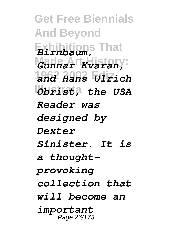**Get Free Biennials And Beyond Exhibitions That** *Birnbaum,* **Made Art History:** *Gunnar Kvaran,* **1962 2002 Ediz** *and Hans Ulrich Obrist*, the USA *Reader was designed by Dexter Sinister. It is a thoughtprovoking collection that will become an important* Page 26/173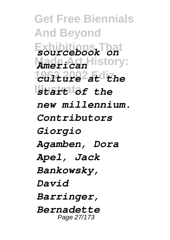**Get Free Biennials And Beyond Exhibitions That** *sourcebook on* **Made Art History:** *American* **1962 2002 Ediz** *culture at the* **Illustrata** *start of the new millennium. Contributors Giorgio Agamben, Dora Apel, Jack Bankowsky, David Barringer, Bernadette* Page 27/173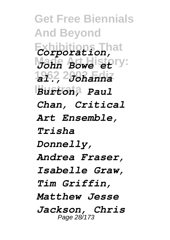**Get Free Biennials And Beyond Exhibitions That** *Corporation, Mann Bowe etery:* **1962 2002 Ediz** *al., Johanna* **Illustrata** *Burton, Paul Chan, Critical Art Ensemble, Trisha Donnelly, Andrea Fraser, Isabelle Graw, Tim Griffin, Matthew Jesse Jackson, Chris* Page 28/173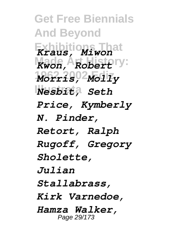**Get Free Biennials And Beyond Exhibitions That** *Kraus, Miwon* **Made Art History:** *Kwon, Robert* **1962 2002 Ediz** *Morris, Molly* **Illustrata** *Nesbit, Seth Price, Kymberly N. Pinder, Retort, Ralph Rugoff, Gregory Sholette, Julian Stallabrass, Kirk Varnedoe, Hamza Walker,* Page 29/173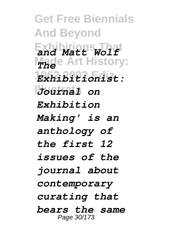**Get Free Biennials And Beyond Exhibitions That** *and Matt Wolf Made Art History:* **1962 2002 Ediz** *Exhibitionist:* **Illustrata** *Journal on Exhibition Making' is an anthology of the first 12 issues of the journal about contemporary curating that bears the same* Page 30/173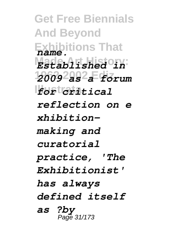**Get Free Biennials And Beyond Exhibitions That** *name.* **Made Art History:** *Established in* **1962 2002 Ediz** *2009 as a forum* **Illustrata** *for critical reflection on e xhibitionmaking and curatorial practice, 'The Exhibitionist' has always defined itself as ?by* Page 31/173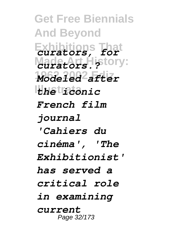**Get Free Biennials And Beyond Exhibitions That** *curators, for* **Made Art History:** *curators.?* **1962 2002 Ediz** *Modeled after* **Illustrata** *the iconic French film journal 'Cahiers du cinéma', 'The Exhibitionist' has served a critical role in examining current* Page 32/173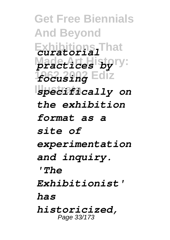**Get Free Biennials And Beyond Exhibitions That** *curatorial* **Made Art History:** *practices by* **1962 2002 Ediz** *focusing* **Illustrata** *specifically on the exhibition format as a site of experimentation and inquiry. 'The Exhibitionist' has historicized,* Page 33/173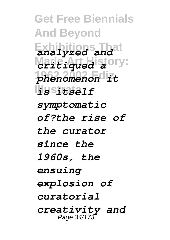**Get Free Biennials And Beyond Exhibitions That** *analyzed and* Made Att History: **1962 2002 Ediz** *phenomenon it* **Illustrata** *is itself symptomatic of?the rise of the curator since the 1960s, the ensuing explosion of curatorial creativity and* Page 34/173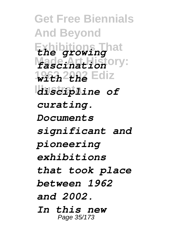**Get Free Biennials And Beyond Exhibitions That** *the growing* **Made Art History:** *fascination* **1962 2002 Ediz** *with the* **Illustrata** *discipline of curating. Documents significant and pioneering exhibitions that took place between 1962 and 2002. In this new* Page 35/173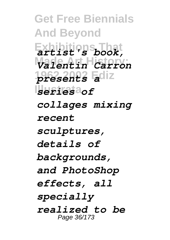**Get Free Biennials And Beyond Exhibitions That** *artist's book,* **Made Art History:** *Valentin Carron* **1962 2002 Ediz** *presents a* **Illustrata** *series of collages mixing recent sculptures, details of backgrounds, and PhotoShop effects, all specially realized to be* Page 36/173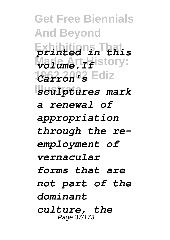**Get Free Biennials And Beyond Exhibitions That** *printed in this*  $\frac{M}{L}$ *Mad<sub>um</sub>e.t<sub>r</sub>History:* **1962 2002 Ediz** *Carron's* **Illustrata** *sculptures mark a renewal of appropriation through the reemployment of vernacular forms that are not part of the dominant culture, the* Page 37/173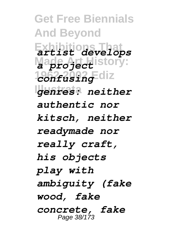**Get Free Biennials And Beyond Exhibitions That** *artist develops* **Made Art History:** *a project* **1962 2002 Ediz** *confusing* **Illustrata** *genres: neither authentic nor kitsch, neither readymade nor really craft, his objects play with ambiguity (fake wood, fake concrete, fake* Page 38/173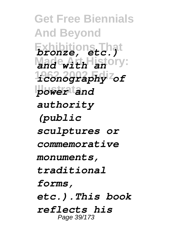**Get Free Biennials And Beyond Exhibitions That** *bronze, etc.)* **Made Art History:** *and with an* **1962 2002 Ediz** *iconography of* **Illustrata** *power and authority (public sculptures or commemorative monuments, traditional forms, etc.).This book reflects his* Page 39/173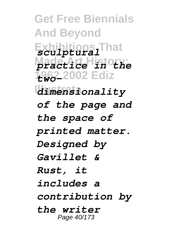**Get Free Biennials And Beyond Exhibitions That** *sculptural* **Made Art History:** *practice in the* **1962 2002 Ediz** *two-***Illustrata** *dimensionality of the page and the space of printed matter. Designed by Gavillet & Rust, it includes a contribution by the writer* Page 40/173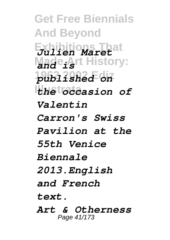**Get Free Biennials And Beyond Exhibitions That** *Julien Maret* **Made A**rt History: **1962 2002 Ediz** *published on* **Illustrata** *the occasion of Valentin Carron's Swiss Pavilion at the 55th Venice Biennale 2013.English and French text. Art & Otherness* Page 41/173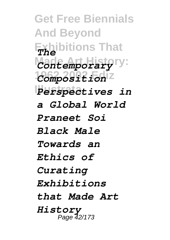**Get Free Biennials And Beyond Exhibitions That** *The* Made Art History: **1962 2002 Ediz** *Composition* **Illustrata** *Perspectives in a Global World Praneet Soi Black Male Towards an Ethics of Curating Exhibitions that Made Art History* Page 42/173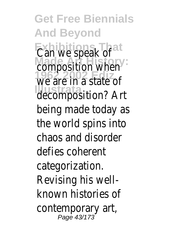**Get Free Biennials And Beyond Exhibitions That** Can we speak of composition when **1962 2002 Ediz** we are in a state of **Illustrata** decomposition? Art being made today as the world spins into chaos and disorder defies coherent categorization. Revising his wellknown histories of contemporary art,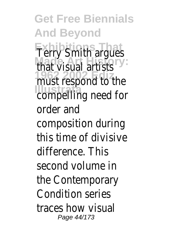**Get Free Biennials And Beyond Terry Smith argues Made Art History:** that visual artists must respond to the **Illustrate** compelling need for order and composition during this time of divisive difference. This second volume in the Contemporary Condition series traces how visual Page 44/173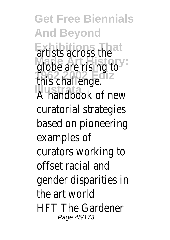**Get Free Biennials And Beyond Exhibitions That** artists across the **Made Art History:** globe are rising to **1962 2002 Ediz** this challenge. **Illustrata** A handbook of new curatorial strategies based on pioneering examples of curators working to offset racial and gender disparities in the art world HFT The Gardener Page 45/173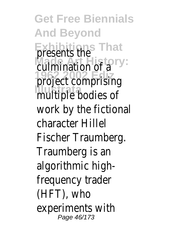**Get Free Biennials And Beyond Exhibitions That** presents the culmination of a project comprising multiple bodies of work by the fictional character Hillel Fischer Traumberg. Traumberg is an algorithmic highfrequency trader (HFT), who experiments with Page 46/173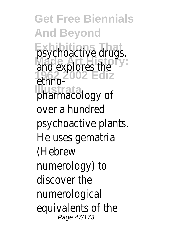**Get Free Biennials And Beyond psychoactive drugs,** and explores the **1962 2002 Ediz** ethnopharmacology of over a hundred psychoactive plants. He uses gematria (Hebrew numerology) to discover the numerological equivalents of the Page 47/173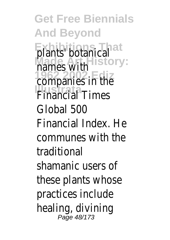**Get Free Biennials And Beyond Exhibitions That** plants' botanical hames with companies in the **Illustrate**<br>Financial Times Global 500 Financial Index. He communes with the traditional shamanic users of these plants whose practices include healing, divining Page 48/173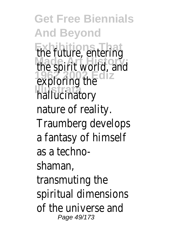**Get Free Biennials And Beyond Exhibitions That** the future, entering the spirit world, and exploring the **Illustrata** hallucinatory nature of reality. Traumberg develops a fantasy of himself as a technoshaman, transmuting the spiritual dimensions of the universe and Page 49/173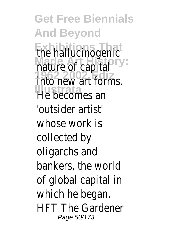**Get Free Biennials And Beyond** the hallucinogenic **Made Art History:** nature of capital **1962 2002 Ediz** into new art forms. **Illustrata** He becomes an 'outsider artist' whose work is collected by oligarchs and bankers, the world of global capital in which he began. HFT The Gardener Page 50/173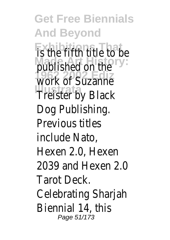**Get Free Biennials And Beyond Exhibition** title to be published on the work of Suzanne **Illustrata** Treister by Black Dog Publishing. Previous titles include Nato, Hexen 2.0, Hexen 2039 and Hexen 2.0 Tarot Deck. Celebrating Sharjah Biennial 14, this Page 51/173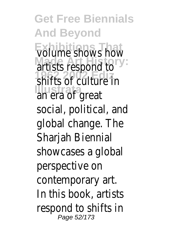**Get Free Biennials And Beyond Exhibitions That** volume shows how **Made Art History:** artists respond to **1962 2002 Ediz** shifts of culture in **Illustrata** an era of great social, political, and global change. The Sharjah Biennial showcases a global perspective on contemporary art. In this book, artists respond to shifts in Page 52/173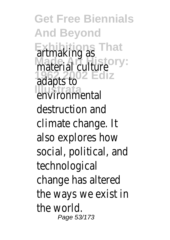**Get Free Biennials And Beyond Exhibitions That** artmaking as **Made Art History:** material culture **1962 2002 Ediz** adapts to **Illustrate**<br> **Environmental** destruction and climate change. It also explores how social, political, and technological change has altered the ways we exist in the world. Page 53/173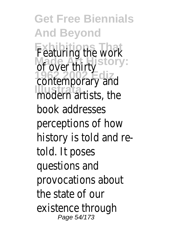**Get Free Biennials And Beyond** Featuring the work of over thirty<sup>ry:</sup> contemporary and **Illustration**<br>
modern artists, the book addresses perceptions of how history is told and retold. It poses questions and provocations about the state of our existence through Page 54/173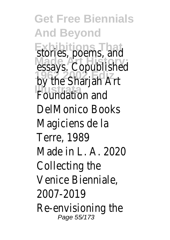**Get Free Biennials And Beyond** stories, poems, and **Made Art History:** essays. Copublished by the Sharjah Art **IPS Sharpart** DelMonico Books Magiciens de la Terre, 1989 Made in L. A. 2020 Collecting the Venice Bienniale, 2007-2019 Re-envisioning the Page 55/173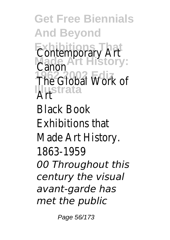**Get Free Biennials And Beyond Exhibitions That Made Art History: 1962 2002 Ediz Illustrata** Art Contemporary Art Canon The Global Work of Black Book Exhibitions that Made Art History. 1863-1959 *00 Throughout this century the visual avant-garde has met the public*

Page 56/173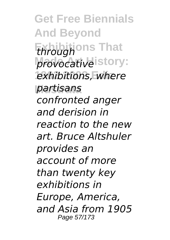**Get Free Biennials And Beyond Exhibitions That** *through* provocative<sup>istory:</sup> exhibitions, where **Illustrata** *partisans confronted anger and derision in reaction to the new art. Bruce Altshuler provides an account of more than twenty key exhibitions in Europe, America, and Asia from 1905* Page 57/173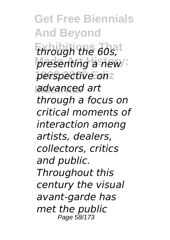**Get Free Biennials And Beyond Exhibitions That** *through the 60s, presenting a new* **1962 2002 Ediz** *perspective on* **Illustrata** *advanced art through a focus on critical moments of interaction among artists, dealers, collectors, critics and public. Throughout this century the visual avant-garde has met the public* Page 58/173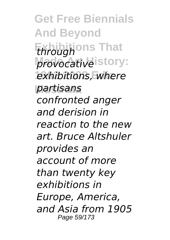**Get Free Biennials And Beyond Exhibitions That** *through* provocative<sup>istory:</sup> exhibitions, where **Illustrata** *partisans confronted anger and derision in reaction to the new art. Bruce Altshuler provides an account of more than twenty key exhibitions in Europe, America, and Asia from 1905* Page 59/173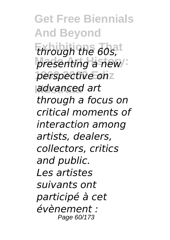**Get Free Biennials And Beyond Exhibitions That** *through the 60s, presenting a new* **1962 2002 Ediz** *perspective on* **Illustrata** *advanced art through a focus on critical moments of interaction among artists, dealers, collectors, critics and public. Les artistes suivants ont participé à cet évènement :* Page 60/173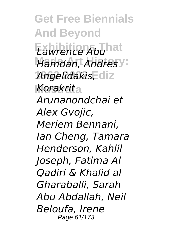**Get Free Biennials And Beyond Exhibitions That** *Lawrence Abu* **Hamdan, Andresy: 1962 2002 Ediz** *Angelidakis,* **Illustrata** *Korakrit Arunanondchai et Alex Gvojic, Meriem Bennani, Ian Cheng, Tamara Henderson, Kahlil Joseph, Fatima Al Qadiri & Khalid al Gharaballi, Sarah Abu Abdallah, Neil Beloufa, Irene* Page 61/173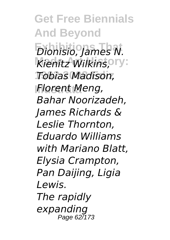**Get Free Biennials And Beyond Exhibitions That** *Dionisio, James N.* Kienitz Wilkins, **Pry: 1962 2002 Ediz** *Tobias Madison,* **Illustrata** *Florent Meng, Bahar Noorizadeh, James Richards & Leslie Thornton, Eduardo Williams with Mariano Blatt, Elysia Crampton, Pan Daijing, Ligia Lewis. The rapidly expanding* Page 627173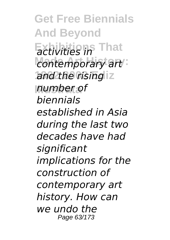**Get Free Biennials And Beyond Exhibitions That** *activities in*  $contemporary$  art and the rising<sup>1</sup> **Illustrata** *number of biennials established in Asia during the last two decades have had significant implications for the construction of contemporary art history. How can we undo the* Page 63/173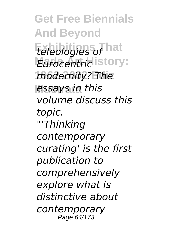**Get Free Biennials And Beyond Exhibitions That** *teleologies of Eurocentric* istory: **1962 2002 Ediz** *modernity? The* **Illustrata** *essays in this volume discuss this topic. "'Thinking contemporary curating' is the first publication to comprehensively explore what is distinctive about contemporary* Page 64/173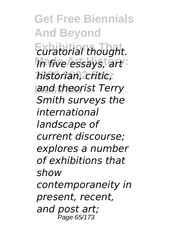**Get Free Biennials And Beyond Exhibitions That** *curatorial thought. In five essays, art*: **1962 2002 Ediz** *historian, critic,* **Illustrata** *and theorist Terry Smith surveys the international landscape of current discourse; explores a number of exhibitions that show contemporaneity in present, recent, and post art;* **P**age 65/173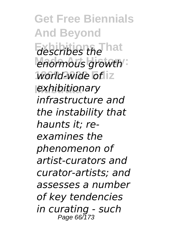**Get Free Biennials And Beyond Exhibitions That** *describes the enormous growth* world-wide of z **Illustrata** *exhibitionary infrastructure and the instability that haunts it; reexamines the phenomenon of artist-curators and curator-artists; and assesses a number of key tendencies in curating - such* Page 66/173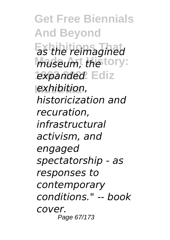**Get Free Biennials And Beyond Exhibitions That** *as the reimagined* museum, the tory: expanded Ediz **Illustrata** *exhibition, historicization and recuration, infrastructural activism, and engaged spectatorship - as responses to contemporary conditions." -- book cover.* Page 67/173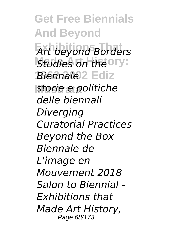**Get Free Biennials And Beyond Exhibitions That** *Art beyond Borders* **Studies on the Ory:** *Biennale* 2 Ediz *<u>Istorie e politiche</u> delle biennali Diverging Curatorial Practices Beyond the Box Biennale de L'image en Mouvement 2018 Salon to Biennial - Exhibitions that Made Art History,* Page 68/173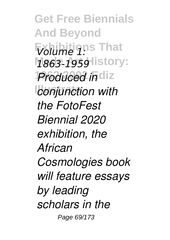**Get Free Biennials And Beyond**  $\nabla$ *bilime* 1: That **Made Art History:** *1863-1959* **Produced in** diz *<u>conjunction</u>* with *the FotoFest Biennial 2020 exhibition, the African Cosmologies book will feature essays by leading scholars in the* Page 69/173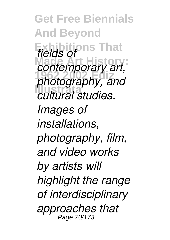**Get Free Biennials And Beyond Exhibitions That** *fields of contemporary art,* **1962 2002 Ediz** *photography, and* **Illustrata** *cultural studies. Images of installations, photography, film, and video works by artists will highlight the range of interdisciplinary approaches that* Page 70/173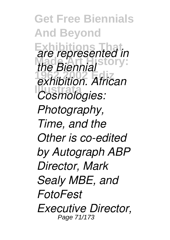**Get Free Biennials And Beyond Exhibitions That** *are represented in* **Made Art History:** *the Biennial* **1962 2002 Ediz** *exhibition. African Cosmologies: Photography, Time, and the Other is co-edited by Autograph ABP Director, Mark Sealy MBE, and FotoFest Executive Director,* Page 71/173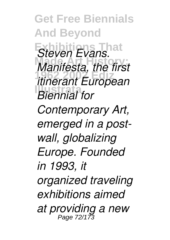**Get Free Biennials And Beyond** *Steven Evans.* **Made Art History:** *Manifesta, the first* **1962 2002 Ediz** *itinerant European* **Illustrata** *Biennial for Contemporary Art, emerged in a postwall, globalizing Europe. Founded in 1993, it organized traveling exhibitions aimed at providing a new* Page 72/173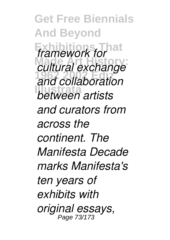**Get Free Biennials And Beyond** *framework for* at **Made Art History:** *cultural exchange* **1962 2002 Ediz** *and collaboration* **Illustrata** *between artists and curators from across the continent. The Manifesta Decade marks Manifesta's ten years of exhibits with original essays,* Page 73/173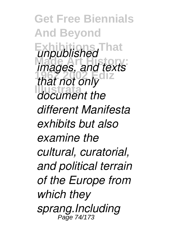**Get Free Biennials And Beyond Exhibitions That** *unpublished* **Made Art History:** *images, and texts* **1962 2002 Ediz** *that not only* **Illustrata** *document the different Manifesta exhibits but also examine the cultural, curatorial, and political terrain of the Europe from which they sprang.Including*  $Pa\bar{a}e$  74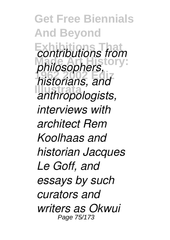**Get Free Biennials And Beyond Exhibitions That** *contributions from* **Made Art History:** *philosophers,* **1962 2002 Ediz** *historians, and* **Illustrata** *anthropologists, interviews with architect Rem Koolhaas and historian Jacques Le Goff, and essays by such curators and writers as Okwui* Page 75/173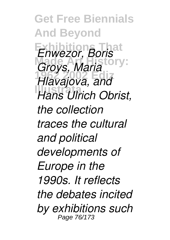**Get Free Biennials And Beyond Exhibitions That** *Enwezor, Boris Groys, Maria*<sup>ory:</sup> **1962 2002 Ediz** *Hlavajova, and* **Hans Ulrich Obrist,** *the collection traces the cultural and political developments of Europe in the 1990s. It reflects the debates incited by exhibitions such* Page 76/173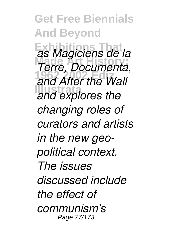**Get Free Biennials And Beyond Exhibitions That** *as Magiciens de la* **Made Art History:** *Terre, Documenta,* **1962 2002 Ediz** *and After the Wall* and explores the *changing roles of curators and artists in the new geopolitical context. The issues discussed include the effect of communism's* Page 77/173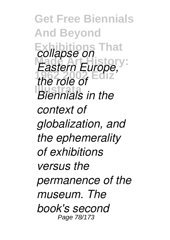**Get Free Biennials And Beyond Exhibitions That** *collapse on Eastern Europe,* **1962 2002 Ediz** *the role of Illennials in the context of globalization, and the ephemerality of exhibitions versus the permanence of the museum. The book's second* Page 78/173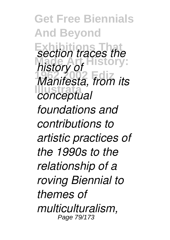**Get Free Biennials And Beyond Exhibition** traces the *history of* **1962 2002 Ediz** *Manifesta, from its* **Illustrata** *conceptual foundations and contributions to artistic practices of the 1990s to the relationship of a roving Biennial to themes of multiculturalism,* Page 79/173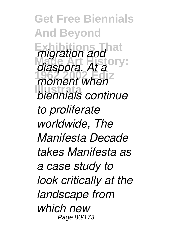**Get Free Biennials And Beyond** *<i>migration and* <sup>at</sup> *diaspora. At a*<sup>ory:</sup> moment when<sup>z</sup> **Illustrata** *biennials continue to proliferate worldwide, The Manifesta Decade takes Manifesta as a case study to look critically at the landscape from which new* Page 80/173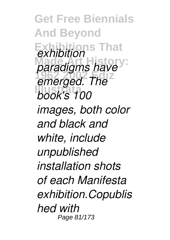**Get Free Biennials And Beyond Exhibitions That** *exhibition paradigms have* **1962 2002 Ediz** *emerged. The* **Illustrata** *book's 100 images, both color and black and white, include unpublished installation shots of each Manifesta exhibition.Copublis hed with* Page 81/173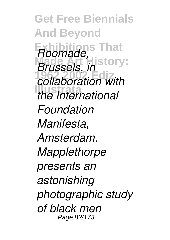**Get Free Biennials And Beyond Exhibitions That** *Roomade, Brussels, in* story: **1962 2002 Ediz** *collaboration with* **Illustrata** *the International Foundation Manifesta, Amsterdam. Mapplethorpe presents an astonishing photographic study of black men* Page 82/173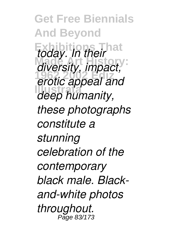**Get Free Biennials And Beyond** *today. In their* hat **Made Art History:** *diversity, impact,* **1962 2002 Ediz** *erotic appeal and* **Illustrata** *deep humanity, these photographs constitute a stunning celebration of the contemporary black male. Blackand-white photos throughout.* Page 83/173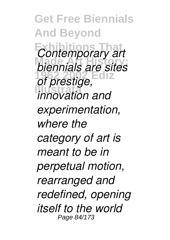**Get Free Biennials And Beyond Exhibitions That** *Contemporary art* **Made Art History:** *biennials are sites* **1962 2002 Ediz** *of prestige,* **Illustrata** *innovation and experimentation, where the category of art is meant to be in perpetual motion, rearranged and redefined, opening itself to the world* Page 84/173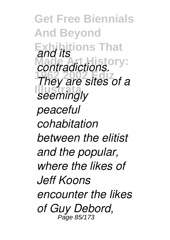**Get Free Biennials And Beyond Exhibitions That** *and its* **Made Art History:** *contradictions.* **1962 2002 Ediz** *They are sites of a* **Illustrate** *peaceful cohabitation between the elitist and the popular, where the likes of Jeff Koons encounter the likes of Guy Debord,* Page 85/173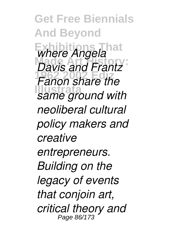**Get Free Biennials And Beyond** *Where Angela* **Made Art History:** *Davis and Frantz* **1962 2002 Ediz** *Fanon share the* **If all clients** and with *neoliberal cultural policy makers and creative entrepreneurs. Building on the legacy of events that conjoin art, critical theory and* Page 86/173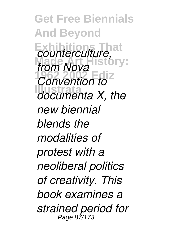**Get Free Biennials And Beyond Exhibitions That** *counterculture,* from Nova<sup>16</sup> *<u>Convention</u>* to<sup> $Z$ </sup> **Illustrata** *documenta X, the new biennial blends the modalities of protest with a neoliberal politics of creativity. This book examines a strained period for* Page 87/1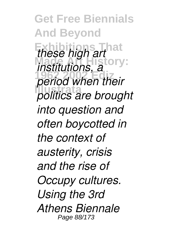**Get Free Biennials And Beyond** *these high art* <sup>at</sup> *institutions, a*<sup>ory:</sup> **1962 2002 Ediz** *period when their* **Illustrata** *politics are brought into question and often boycotted in the context of austerity, crisis and the rise of Occupy cultures. Using the 3rd Athens Biennale* Page 88/173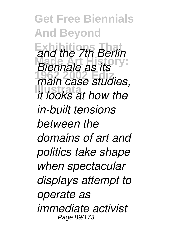**Get Free Biennials And Beyond Exhibitions That** *and the 7th Berlin* **Made Art History:** *Biennale as its* **1962 2002 Ediz** *main case studies,* **Illustrata** *it looks at how the in-built tensions between the domains of art and politics take shape when spectacular displays attempt to operate as immediate activist* Page 89/173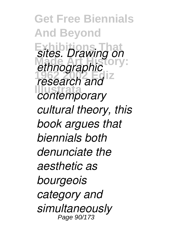**Get Free Biennials And Beyond Exhibitions That** *sites. Drawing on* ethnographic<sup>ory:</sup> *research and Contemporary cultural theory, this book argues that biennials both denunciate the aesthetic as bourgeois category and simultaneously* Page 90/173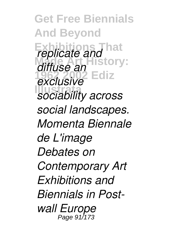**Get Free Biennials And Beyond** *replicate and* hat **Made Art History: 1962 2002 Ediz Illustrata** *sociability across diffuse an exclusive social landscapes. Momenta Biennale de L'image Debates on Contemporary Art Exhibitions and Biennials in Postwall Europe* Page 91/173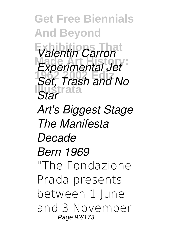**Get Free Biennials And Beyond Exhibitions That** *Valentin Carron* **Made Art History:** *Experimental Jet* **1962 2002 Ediz** *Set, Trash and No* **Illustrata** *Star Art's Biggest Stage The Manifesta Decade Bern 1969* "The Fondazione Prada presents between 1 June and 3 November Page 92/173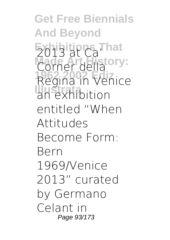**Get Free Biennials And Beyond Exhibitions That** 2013 at Ca' Corner della ory: **1962 2002 Ediz** Regina in Venice **Illustration** entitled "When Attitudes Become Form: Bern 1969/Venice 2013" curated by Germano Celant in Page 93/173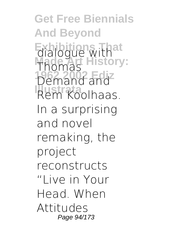**Get Free Biennials And Beyond Exhibitions That Made Art History: 1962 2002 Ediz** Demand and **Rem Koolhaas.** dialogue with Thomas In a surprising and novel remaking, the project reconstructs "Live in Your Head. When Attitudes Page 94/173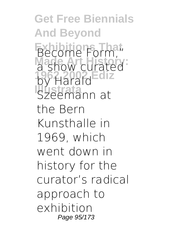**Get Free Biennials And Beyond** Become Form," a show curated **1962 2002 Ediz** by Harald **Illustrate**<br>Szeemann at the Bern Kunsthalle in 1969, which went down in history for the curator's radical approach to exhibition Page 95/173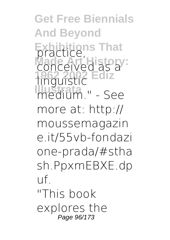**Get Free Biennials And Beyond Exhibitions That** conceived as a **1962 2002 Ediz** linguistic **Illustrata** medium." - See more at: http:// moussemagazin e.it/55vb-fondazi one-prada/#stha sh.PpxmEBXE.dp uf. "This book explores the Page 96/173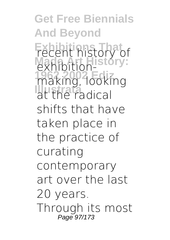**Get Free Biennials And Beyond** Fecent history of exhibition-**1962 2002 Ediz** making, looking **Illustration** shifts that have taken place in the practice of curating contemporary art over the last 20 years. Through its most Page 97/173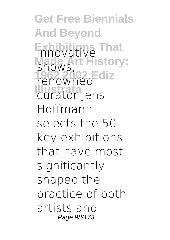**Get Free Biennials And Beyond Exhibitions** That **Made Art History:** shows, **1962 2002 Ediz** renowned **Illustrata** curator Jens Hoffmann selects the 50 key exhibitions that have most significantly shaped the practice of both artists and Page 98/173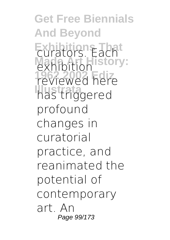**Get Free Biennials And Beyond** Exhibition<sub>s</sub> Each<sup>t</sup> exhibition story: **1962 2002 Ediz** reviewed here **Illustrata** has triggered profound changes in curatorial practice, and reanimated the potential of contemporary art. An Page 99/173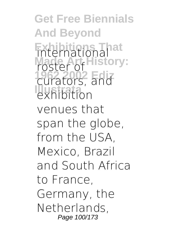**Get Free Biennials And Beyond Exhibition Made Art History: 1962 2002 Ediz** curators, and exhibition venues that span the globe. from the USA, Mexico, Brazil and South Africa to France, Germany, the Netherlands, Page 100/173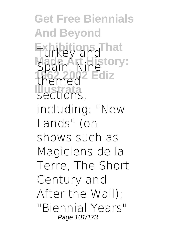**Get Free Biennials And Beyond Exhibitions That Made Art History: 1962 2002 Ediz** themed **Illustrata** sections, Turkey and Spain. Nine including: "New Lands" (on shows such as Magiciens de la Terre, The Short Century and After the Wall); "Biennial Years" Page 101/173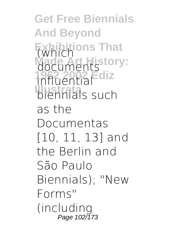**Get Free Biennials And Beyond Exhibitions That** (which **Made Articles 1962 2002 Ediz** influential **Illustration** as the Documentas [10, 11, 13] and the Berlin and São Paulo Biennials); "New Forms" (including Page 102/173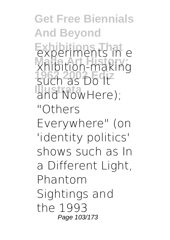**Get Free Biennials And Beyond Exhibitions That** experiments in e **Made Art History:** xhibition-making **1962 2002 Ediz** such as Do It and NowHere); "Others Everywhere" (on 'identity politics' shows such as In a Different Light, Phantom Sightings and the 1993 Page 103/173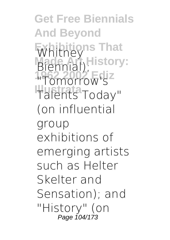**Get Free Biennials And Beyond Exhibitions That** Whitney Biennial) History: **1962 2002 Ediz** "Tomorrow's **Illustrata** Talents Today" (on influential group exhibitions of emerging artists such as Helter Skelter and Sensation); and "History" (on Page 104/173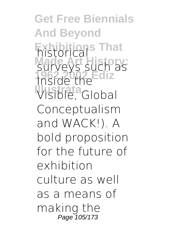**Get Free Biennials And Beyond Exhibitions That** historical surveys such as **1962 2002 Ediz** Inside the **Illustrate**<br>
Visible, Global Conceptualism and WACK!). A bold proposition for the future of exhibition culture as well as a means of making the Page 105/173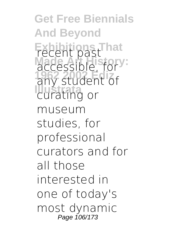**Get Free Biennials And Beyond Fxcent past hat** accessible, for y: any student of **Illustrating** or museum studies, for professional curators and for all those interested in one of today's most dynamic Page 106/173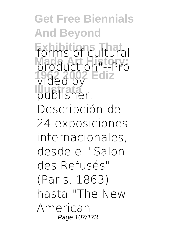**Get Free Biennials And Beyond Exhibitions That** forms of cultural **Made Art History:** production"--Pro **1962 2002 Ediz** vided by **Illustrata** publisher. Descripción de 24 exposiciones internacionales, desde el "Salon des Refusés" (Paris, 1863) hasta "The New American Page 107/173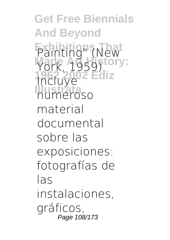**Get Free Biennials And Beyond** Painting" (New York, 1959).<sup>ory:</sup> **1962 2002 Ediz Illustrata** numeroso Incluye material documental sobre las exposiciones: fotografías de las instalaciones, gráficos, Page 108/173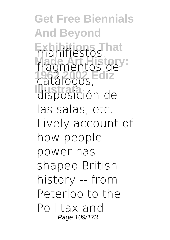**Get Free Biennials And Beyond Exhibitions That** manifiestos, fragmentos de **1962 2002 Ediz** catálogos, **Illustrata** disposición de las salas, etc. Lively account of how people power has shaped British history -- from Peterloo to the Poll tax and Page 109/173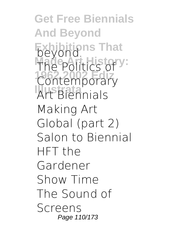**Get Free Biennials And Beyond Exhibitions That** The Politics of y: Contemporary **I**<br>Art Biennials Making Art Global (part 2) Salon to Biennial HFT the Gardener Show Time The Sound of Screens Page 110/173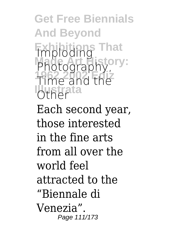**Get Free Biennials And Beyond Exhibitions That** Imploding **Photography, Photography 1962 2002 Ediz** Time and the **Iblistrata** Each second year, those interested in the fine arts from all over the world feel attracted to the "Biennale di Venezia". Page 111/173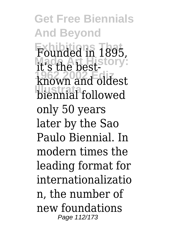**Get Free Biennials And Beyond Exhibitions That** Founded in 1895, **Made Art History:** it's the best-**1962 2002 Ediz** known and oldest **Illustrata** biennial followed only 50 years later by the Sao Paulo Biennial. In modern times the leading format for internationalizatio n, the number of new foundations Page 112/173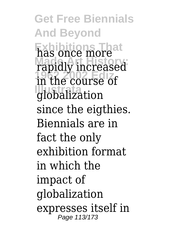**Get Free Biennials And Beyond Exhibitions That** has once more **Made Art History:** rapidly increased **1962 2002 Ediz** in the course of **Illustrata** globalization since the eigthies. Biennials are in fact the only exhibition format in which the impact of globalization expresses itself in Page 113/173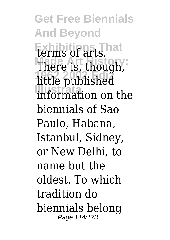**Get Free Biennials And Beyond Exhibitions That** terms of arts. There is, though, **1962 2002 Ediz** little published **Illustrata** information on the biennials of Sao Paulo, Habana, Istanbul, Sidney, or New Delhi, to name but the oldest. To which tradition do biennials belong Page 114/173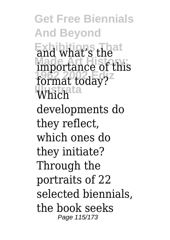**Get Free Biennials And Beyond** and what's the importance of this format today? Which<sup>ta</sup> developments do they reflect, which ones do they initiate? Through the portraits of 22 selected biennials, the book seeks Page 115/173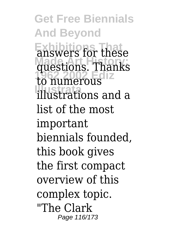**Get Free Biennials And Beyond Exhibitions That** answers for these **Made Art History:** questions. Thanks **1962 2002 Ediz** to numerous **Illustrata** illustrations and a list of the most important biennials founded, this book gives the first compact overview of this complex topic. "The Clark Page 116/173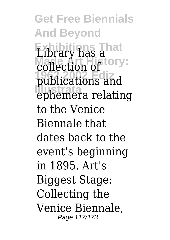**Get Free Biennials And Beyond Exhibitions That** Library has a collection of ory: **1962 2002 Ediz** publications and **Illustrata** ephemera relating to the Venice Biennale that dates back to the event's beginning in 1895. Art's Biggest Stage: Collecting the Venice Biennale, Page 117/173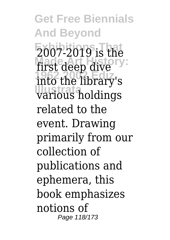**Get Free Biennials And Beyond Exhibitions That** 2007-2019 is the first deep dive<sup>ry:</sup> **1962 2002 Ediz** into the library's **Illustrata** various holdings related to the event. Drawing primarily from our collection of publications and ephemera, this book emphasizes notions of Page 118/173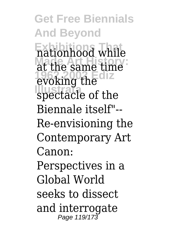**Get Free Biennials And Beyond Exhibitions That** nationhood while **Made Art History:** at the same time evoking the spectacle of the Biennale itself"-- Re-envisioning the Contemporary Art Canon: Perspectives in a Global World seeks to dissect and interrogate Page 119/173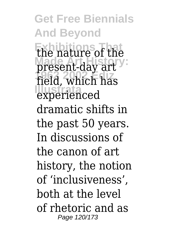**Get Free Biennials And Beyond Exhibitions That** the nature of the present-day art **1962 2002 Ediz** field, which has experienced dramatic shifts in the past 50 years. In discussions of the canon of art history, the notion of 'inclusiveness', both at the level of rhetoric and as Page 120/173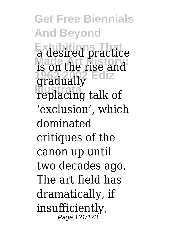**Get Free Biennials And Beyond Exhibitions That** a desired practice **Made Art History:** is on the rise and **1962 2002 Ediz** gradually **Illustrata** replacing talk of 'exclusion', which dominated critiques of the canon up until two decades ago. The art field has dramatically, if insufficiently, Page 121/173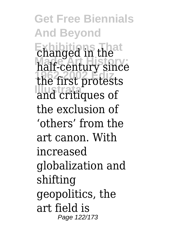**Get Free Biennials And Beyond Exhibitions That** changed in the **Made Art History:** half-century since **1962 2002 Ediz** the first protests **Illustrata** and critiques of the exclusion of 'others' from the art canon. With increased globalization and shifting geopolitics, the art field is Page 122/173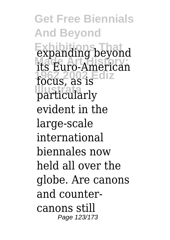**Get Free Biennials And Beyond Expanding beyond Made Art History:** its Euro-American **1962 2002 Ediz** focus, as is particularly evident in the large-scale international biennales now held all over the globe. Are canons and countercanons still Page 123/173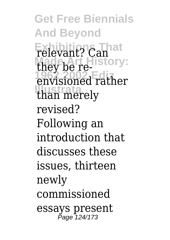**Get Free Biennials And Beyond** relevant? Can<sup>nat</sup> they be re-**1962 2002 Ediz** envisioned rather **Illustrata** than merely revised? Following an introduction that discusses these issues, thirteen newly commissioned essays present Page 124/173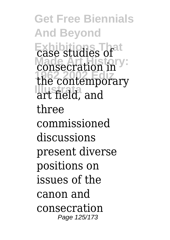**Get Free Biennials And Beyond Exhibitions That** case studies of consecration in<sup>y</sup> **1962 2002 Ediz** the contemporary **Illustrate** three commissioned discussions present diverse positions on issues of the canon and consecration Page 125/173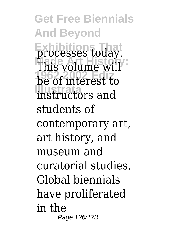**Get Free Biennials And Beyond Exhibitions That** processes today. This volume will **1962 2002 Ediz** be of interest to **Illustrata** instructors and students of contemporary art, art history, and museum and curatorial studies. Global biennials have proliferated in the Page 126/173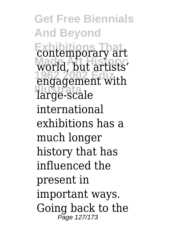**Get Free Biennials And Beyond Exhibitions That** contemporary art world, but artists' **1962 2002 Ediz** engagement with **Illustrata** large-scale international exhibitions has a much longer history that has influenced the present in important ways. Going back to the Page 127/173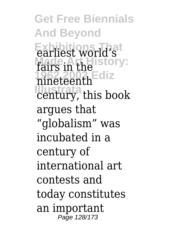**Get Free Biennials And Beyond** earliest world's fairs in the *Made Art History*: **1962 2002 Ediz** nineteenth **Illustrata** century, this book argues that "globalism" was incubated in a century of international art contests and today constitutes an important Page 128/173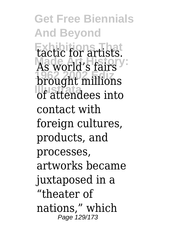**Get Free Biennials And Beyond Exhibitions That** tactic for artists. As world's fairs **1962 2002 Ediz** brought millions **Illustrata** of attendees into contact with foreign cultures. products, and processes, artworks became juxtaposed in a "theater of nations," which Page 129/173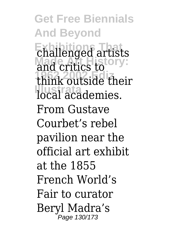**Get Free Biennials And Beyond Exhibitions That** challenged artists and critics to **Primary: 1962 2002 Ediz** think outside their **Illustrate** *Ilocal* academies. From Gustave Courbet's rebel pavilion near the official art exhibit at the 1855 French World's Fair to curator Beryl Madra's Page 130/173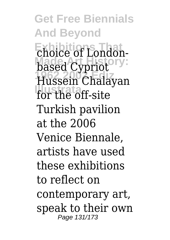**Get Free Biennials And Beyond** choice of Londonbased Cypriot<sup>11</sup> **1962 2002 Ediz** Hussein Chalayan for the off-site Turkish pavilion at the 2006 Venice Biennale, artists have used these exhibitions to reflect on contemporary art, speak to their own Page 131/173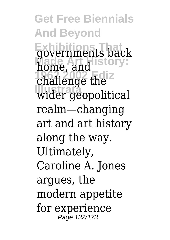**Get Free Biennials And Beyond Exhibitions That** governments back home, and challenge the **Illustrata** wider geopolitical realm—changing art and art history along the way. Ultimately, Caroline A. Jones argues, the modern appetite for experience Page 132/173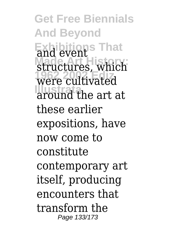**Get Free Biennials And Beyond Exhibitions That** structures, which **1962 2002 Ediz** were cultivated **Illustrata** around the art at these earlier expositions, have now come to constitute contemporary art itself, producing encounters that transform the Page 133/173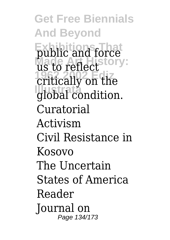**Get Free Biennials And Beyond** public and force us to reflect story: critically on the global condition. Curatorial Activism Civil Resistance in Kosovo The Uncertain States of America Reader Journal on Page 134/173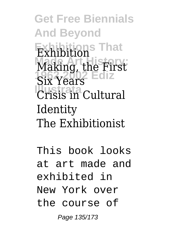**Get Free Biennials And Beyond Exhibitions That** Exhibition Making, the First Six Years<sup>2</sup> Ediz **Illustrata** Crisis in Cultural Identity The Exhibitionist

This book looks at art made and exhibited in New York over the course of Page 135/173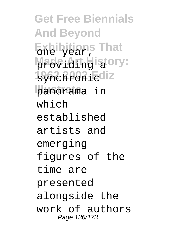**Get Free Biennials And Beyond Exhibitions That** one year, **Made Athelistory: 1962 2002 Ediz** synchronic **Illustrata** panorama in which established artists and emerging figures of the time are presented alongside the work of authors Page 136/173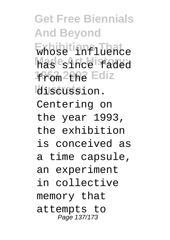**Get Free Biennials And Beyond Exhibitions That** whose influence **Made Art History:** has since faded 1966<sub>m</sub> 2002 Ediz discussion. Centering on the year 1993, the exhibition is conceived as a time capsule, an experiment in collective memory that attempts to Page 137/173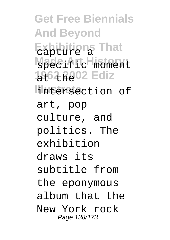**Get Free Biennials And Beyond Exhibitions That** capture a Madei<sup>ficH</sup>istory: 1962 R<sub>802</sub> Ediz **Illustrata** intersection of art, pop culture, and politics. The exhibition draws its subtitle from the eponymous album that the New York rock Page 138/173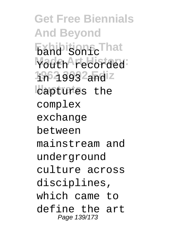**Get Free Biennials And Beyond Exhibitions That** band Sonic Madeh<sup>A</sup>rtedorded 1962 3992<sub>and</sub>iz lcaptures the complex exchange between mainstream and underground culture across disciplines, which came to define the art Page 139/173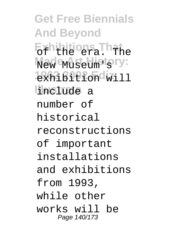**Get Free Biennials And Beyond Exhibitions That** of the era. The **Nade Museum for y: 1962 2002 Ediz** exhibition will **Illustrata** include a number of historical reconstructions of important installations and exhibitions from 1993, while other works will be Page 140/173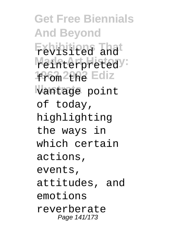**Get Free Biennials And Beyond Exhibitions That** revisited and Mathterpretedy: 1966<sub>m</sub> 2002 Ediz vantage point of today, highlighting the ways in which certain actions, events, attitudes, and emotions reverberate Page 141/173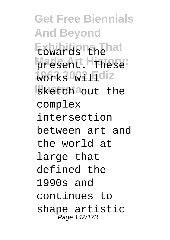**Get Free Biennials And Beyond Exhibitions That** towards the **Made Art History:** present. These **1962 2002 Ediz** works will Isketch<sup>a</sup>out the complex intersection between art and the world at large that defined the 1990s and continues to shape artistic Page 142/173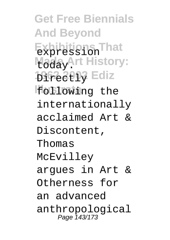**Get Free Biennials And Beyond Exhibitions That** expression **Maday** Art History: **1962 2002 Ediz** Directly **Illustrata** following the internationally acclaimed Art & Discontent, Thomas McEvilley argues in Art & Otherness for an advanced anthropological Page 143/173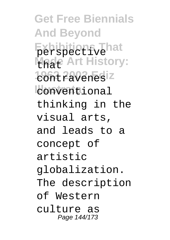**Get Free Biennials And Beyond Exhibitions That** perspective **Made Art History: 1962 2002 Ediz** contravenes *conventional* thinking in the visual arts, and leads to a concept of artistic globalization. The description of Western culture as Page 144/173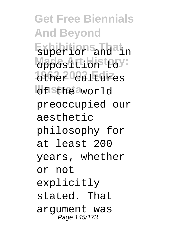**Get Free Biennials And Beyond Exhibitions That** superior and in Mages Attibistery: **19the 20021 Edizes** *<u>I</u>sthe* aworld preoccupied our aesthetic philosophy for at least 200 years, whether or not explicitly stated. That argument was Page 145/173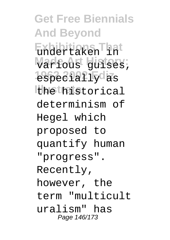**Get Free Biennials And Beyond Exhibitions That** undertaken in Warfoust guises; **1962 2002 Ediz** especially as **Illustrata** the historical determinism of Hegel which proposed to quantify human "progress". Recently, however, the term "multicult uralism" has Page 146/173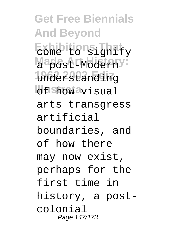**Get Free Biennials And Beyond Exhibitions That** come to signify Magest<sup>-Moderny:</sup> **1962 2002 Ediz** understanding *<u>Of Show</u>* avisual arts transgress artificial boundaries, and of how there may now exist, perhaps for the first time in history, a postcolonial Page 147/173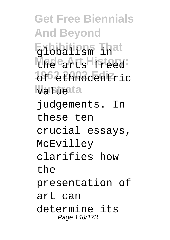**Get Free Biennials And Beyond Exhibitions That** globalism in **Made** Atts History: **1962 2002 Ediz** of ethnocentric va Fueta judgements. In these ten crucial essays, McEvilley clarifies how the presentation of art can determine its Page 148/173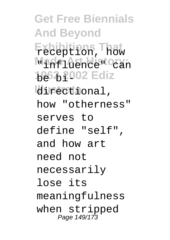**Get Free Biennials And Beyond Exhibitions That** reception, how Made1dthUistory: **1962 2002 Ediz** be bidirectional, how "otherness" serves to define "self", and how art need not necessarily lose its meaningfulness when stripped Page 149/173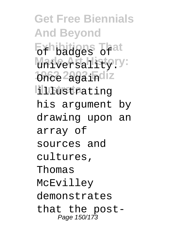**Get Free Biennials And Beyond Exhibitions That** of badges of *Mateersality.v:* **1962 2292 indiz Illustrata** illustrating his argument by drawing upon an array of sources and cultures, Thomas McEvilley demonstrates that the post-Page 150/173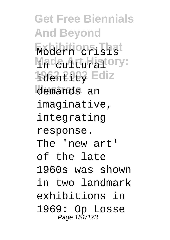**Get Free Biennials And Beyond Exhibitions That** Modern crisis Madeu1ttuHatory: **1962 2002 Ediz** identity demands an imaginative, integrating response. The 'new art' of the late 1960s was shown in two landmark exhibitions in 1969: Op Losse Page 151/173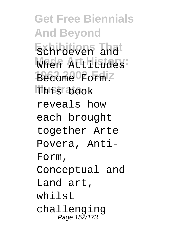**Get Free Biennials And Beyond Exhibitions That** Schroeven and **Made Art History:** When Attitudes Become Form! **This book** reveals how each brought together Arte Povera, Anti-Form, Conceptual and Land art, whilst challenging Page 152/173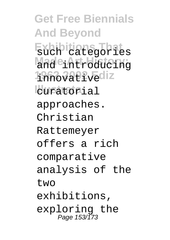**Get Free Biennials And Beyond Exhibitions That** such categories Made<sub>introducing</sub> 19<sub>66</sub>22012 **L**curatorial approaches. Christian Rattemeyer offers a rich comparative analysis of the two exhibitions, exploring the Page 153/173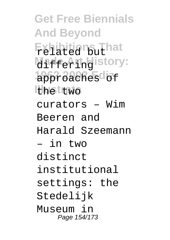**Get Free Biennials And Beyond Exhibitions That** related but **Maffering**istory: **1962 2002 Ediz** approaches of the two curators – Wim Beeren and Harald Szeemann – in two distinct institutional settings: the Stedelijk Museum in Page 154/173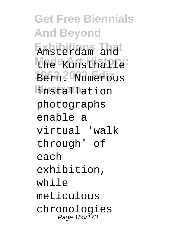**Get Free Biennials And Beyond Exhibitions That** Amsterdam and Made Kunsthalle: **1962 2002 Ediz** Bern. Numerous **Illustrata** installation photographs enable a virtual 'walk through' of each exhibition, while meticulous chronologies Page 155/173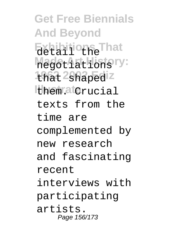**Get Free Biennials And Beyond** Exhibitions That Magst Authorists ry: that <sup>2</sup>shapediz **Illustrata** them. Crucial texts from the time are complemented by new research and fascinating recent interviews with participating artists. Page 156/173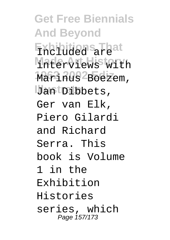**Get Free Biennials And Beyond Exhibitions That** Included are Mader<sub>Views with</sub> Marinus<sup>2</sup>Boezem, Jan Dibbets, Ger van Elk, Piero Gilardi and Richard Serra. This book is Volume 1 in the Exhibition Histories series, which Page 157/173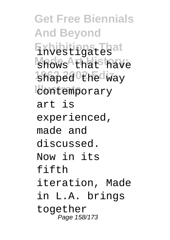**Get Free Biennials And Beyond Exhibitions That** investigates **Mades** Athat have shaped the way **lcontemporary** art is experienced, made and discussed. Now in its fifth iteration, Made in L.A. brings together Page 158/173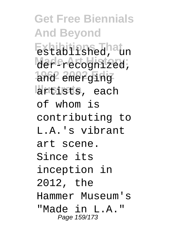**Get Free Biennials And Beyond Exhibitions That** established, un Mare<sub>recognized;</sub> and emerging artists, each of whom is contributing to L.A.'s vibrant art scene. Since its inception in 2012, the Hammer Museum's "Made in L.A." Page 159/173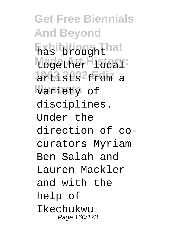**Get Free Biennials And Beyond Exhibitions That** has brought Magether History: **1962 2002 Ediz** artists from a variety of disciplines. Under the direction of cocurators Myriam Ben Salah and Lauren Mackler and with the help of Ikechukwu Page 160/173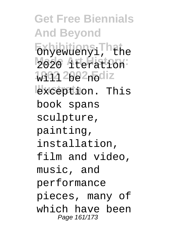**Get Free Biennials And Beyond** Exhibitions<sup>I</sup>hat Mazo **Atteration 1962 2002 <sub>no</sub>diz Illustrata** exception. This book spans sculpture, painting, installation, film and video, music, and performance pieces, many of which have been Page 161/173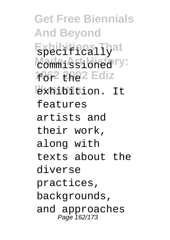**Get Free Biennials And Beyond Exhibitions That** specifically Made: Astiblistary: **1962 2002 Ediz Illustrata** exhibition. It features artists and their work, along with texts about the diverse practices, backgrounds, and approaches Page 162/173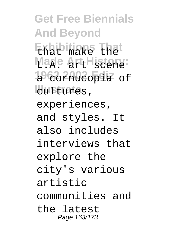**Get Free Biennials And Beyond Exhibitions That** that make the Mage Art History: 1966 2nucopia of lcultures, experiences, and styles. It also includes interviews that explore the city's various artistic communities and the latest Page 163/173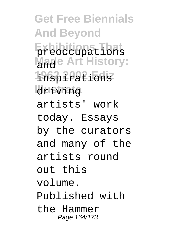**Get Free Biennials And Beyond Exhibitions That** preoccupations **Made Art History: 1962 2002 Ediz** inspirations driving artists' work today. Essays by the curators and many of the artists round out this volume. Published with the Hammer Page 164/173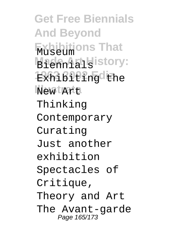**Get Free Biennials And Beyond Exhibitions That** Museum **Made Art History:** Exh1610Ph<sub>gd</sub>Uhe **Illustrata** New Art Thinking Contemporary Curating Just another exhibition Spectacles of Critique, Theory and Art The Avant-garde Page 165/173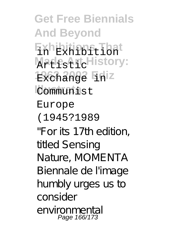**Get Free Biennials And Beyond Exhibitions That** in Exhibition **MadesArtHistory: 1962 2002 Ediz** Exchange in **Communist** Europe (1945?1989 "For its 17th edition, titled Sensing Nature, MOMENTA Biennale de l'image humbly urges us to consider environmental Page 166/173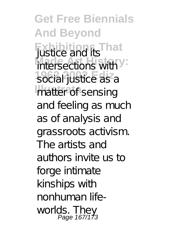**Get Free Biennials And Beyond Exhibitions That** justice and its intersections with Y social justice as a matter of sensing and feeling as much as of analysis and grassroots activism. The artists and authors invite us to forge intimate kinships with nonhuman lifeworlds. They Page 167/173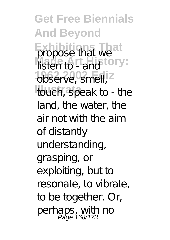**Get Free Biennials And Beyond Exhibition** That we listen to - and **fory:** observe, smell, z touch, speak to - the land, the water, the air not with the aim of distantly understanding, grasping, or exploiting, but to resonate, to vibrate, to be together. Or, perhaps, with no<br>Page 168/173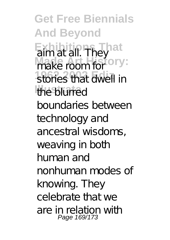**Get Free Biennials And Beyond Exhibitions** They make room for **ory:** stories that dwell in the blurred boundaries between technology and ancestral wisdoms, weaving in both human and nonhuman modes of knowing. They celebrate that we are in relation with Page 169/173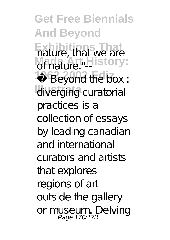**Get Free Biennials And Beyond Exhibitions That** nature, that we are **Madure."** History:  $19Beyond$  the box : diverging cura torial practices is a collection of essays by leading canadian and international curators and artists that explores regions of art outside the gallery or museum. Delving Page 170/173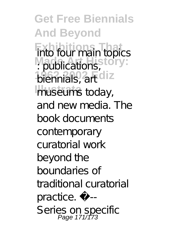**Get Free Biennials And Beyond Exhibitions That** into four main topics **M** publications, biennials, art diz museums today, and new media. The book documents contemporary curatorial work beyond the boundaries of traditional curatorial practice. »-- Series on specific Page 171/173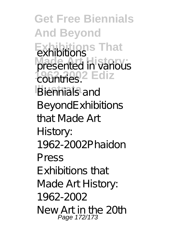**Get Free Biennials And Beyond Exhibitions That** exhibitions presented in various *<u>2</u>* countries<sup>2</sup> Ediz **Biennials and** BeyondExhibitions that Made Art History: 1962-2002Phaidon Press Exhibitions that Made Art History: 1962-2002 New Art in the 20th Page 172/173